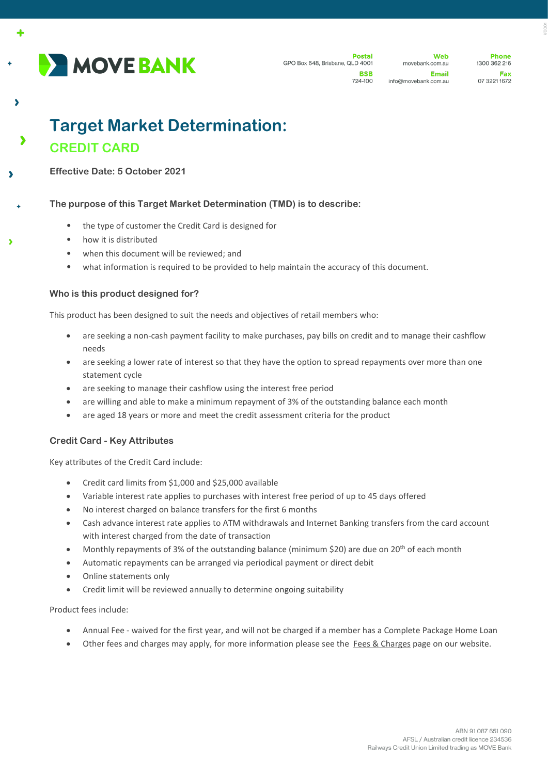

 $\ddot{\phantom{1}}$ 

 $\overline{\phantom{a}}$ 

Web movebank.com.au Email info@movebank.com.au

**Dhone** 1300 362 216 Fax 07 3221 1672

# **Target Market Determination: CREDIT CARD**

**Effective Date: 5 October 2021**

# **The purpose of this Target Market Determination (TMD) is to describe:**

- the type of customer the Credit Card is designed for
- how it is distributed
- when this document will be reviewed; and
- what information is required to be provided to help maintain the accuracy of this document.

# **Who is this product designed for?**

This product has been designed to suit the needs and objectives of retail members who:

- are seeking a non-cash payment facility to make purchases, pay bills on credit and to manage their cashflow needs
- are seeking a lower rate of interest so that they have the option to spread repayments over more than one statement cycle
- are seeking to manage their cashflow using the interest free period
- are willing and able to make a minimum repayment of 3% of the outstanding balance each month
- are aged 18 years or more and meet the credit assessment criteria for the product

# **Credit Card - Key Attributes**

Key attributes of the Credit Card include:

- Credit card limits from \$1,000 and \$25,000 available
- Variable interest rate applies to purchases with interest free period of up to 45 days offered
- No interest charged on balance transfers for the first 6 months
- Cash advance interest rate applies to ATM withdrawals and Internet Banking transfers from the card account with interest charged from the date of transaction
- Monthly repayments of 3% of the outstanding balance (minimum \$20) are due on 20<sup>th</sup> of each month
- Automatic repayments can be arranged via periodical payment or direct debit
- Online statements only
- Credit limit will be reviewed annually to determine ongoing suitability

#### Product fees include:

- Annual Fee waived for the first year, and will not be charged if a member has a Complete Package Home Loan
- Other fees and charges may apply, for more information please see the [Fees & Charges](https://movebank.com.au/quick-links/fees-charges/) page on our website.